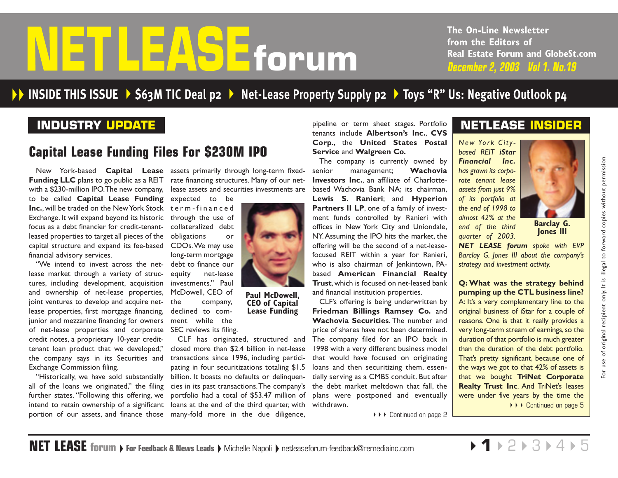# <span id="page-0-0"></span>Ford of the Strains of trom the Editors of from the Editors of The Strains Western 2, 2003 Vol 1. No.19

**The On-Line Newsletter from the Editors of Real Estate Forum and GlobeSt.com**

# **INSIDE THIS ISSUE [\\$63M TIC](#page-1-0) Deal p2 [Net-Lease Property Supply p2](#page-1-0)  Toys "R" Us: [Negative Outlook p4](#page-3-0)**

# **INDUSTRY UPDATE**

# **Capital Lease Funding Files For \$230M IPO**

New York-based **Capital Lease** assets primarily through long-term fixed-**Funding LLC** plans to go public as a REIT  $~$  rate financing structures. Many of our netwith a \$230-million IPO.The new company, to be called **Capital Lease Funding** expected to be **Inc.**, will be traded on the New York Stock term-financed Exchange. It will expand beyond its historic through the use of focus as a debt financier for credit-tenantleased properties to target all pieces of the obligations or capital structure and expand its fee-based CDOs.We may use financial advisory services.

"We intend to invest across the net-debt to finance our lease market through a variety of structures, including development, acquisition and ownership of net-lease properties, joint ventures to develop and acquire net- the lease properties, first mortgage financing, junior and mezzanine financing for owners of net-lease properties and corporate SEC reviews its filing. credit notes, a proprietary 10-year credittenant loan product that we developed," the company says in its Securities and Exchange Commission filing.

"Historically, we have sold substantially all of the loans we originated," the filing further states. "Following this offering, we intend to retain ownership of a significant

lease assets and securities investments are

collateralized debt long-term mortgage equity net-lease investments." Paul McDowell, CEO of company, declined to comment while the

portion of our assets, and finance those many-fold more in the due diligence, CLF has originated, structured and closed more than \$2.4 billion in net-lease transactions since 1996, including participating in four securitizations totaling \$1.5 billion. It boasts no defaults or delinquencies in its past transactions.The company's the debt market meltdown that fall, the portfolio had a total of \$53.47 million of plans were postponed and eventually loans at the end of the third quarter, with withdrawn.

**NET LEASE** forum **For Feedback & News Leads** Michelle Napoli **P** [netleaseforum-feedback@remediainc.com](mailto:netleaseforum-feedback@remediainc.com)

pipeline or term sheet stages. Portfolio tenants include **Albertson's Inc.**, **CVS Corp.**, the **United States Postal Service** and **Walgreen Co.**

The company is currently owned by senior management; **Wachovia Investors Inc.**, an affiliate of Charlottebased Wachovia Bank NA; its chairman, **Lewis S. Ranieri**; and **Hyperion Partners II LP**, one of a family of investment funds controlled by Ranieri with offices in New York City and Uniondale, NY.Assuming the IPO hits the market, the offering will be the second of a net-leasefocused REIT within a year for Ranieri, who is also chairman of Jenkintown, PAbased **American Financial Realty Trust**, which is focused on net-leased bank and financial institution properties.

CLF's offering is being underwritten by **Friedman Billings Ramsey Co.** and **Wachovia Securities**. The number and price of shares have not been determined. The company filed for an IPO back in 1998 with a very different business model that would have focused on originating loans and then securitizing them, essentially serving as a CMBS conduit. But after

▶ ▶ [Continued on page 2](#page-1-0)

# **NETLEASE INSIDER**

*New York Citybased REIT iStar Financial Inc. has grown its corporate tenant lease assets from just 9% of its portfolio at the end of 1998 to almost 42% at the end of the third quarter of 2003.*



**Barclay G. Jones III**

For use of original recipient only. It is illegal to forward copies without permission.

٣ò.

use of original recipient only. It is illegal to forward copies without permission.

*NET LEASE forum spoke with EVP Barclay G. Jones III about the company's strategy and investment activity.*

**Q: What was the strategy behind pumping up the CTL business line?**  A: It's a very complementary line to the original business of iStar for a couple of reasons. One is that it really provides a very long-term stream of earnings, so the duration of that portfolio is much greater than the duration of the debt portfolio. That's pretty significant, because one of the ways we got to that 42% of assets is that we bought **TriNet Corporate Realty Trust Inc**. And TriNet's leases were under five years by the time the ◆ ▶ ▶ [Continued on page 5](#page-4-0)



**CEO of Capital Lease Funding**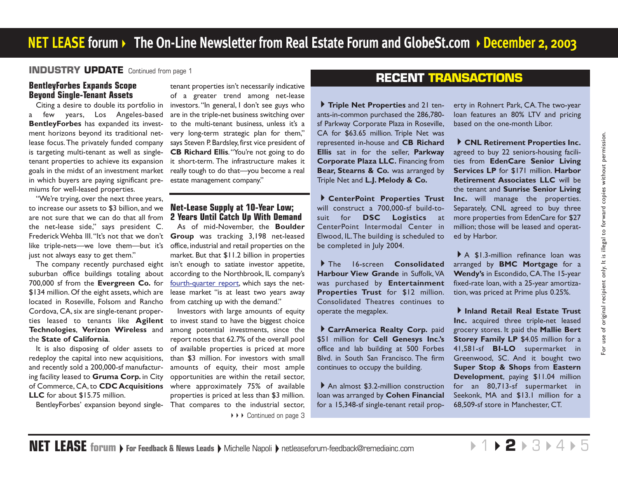#### <span id="page-1-0"></span>**INDUSTRY UPDATE** [Continued from page 1](#page-0-0)

#### **BentleyForbes Expands Scope Beyond Single-Tenant Assets**

Citing a desire to double its portfolio in a few years, Los Angeles-based **BentleyForbes** has expanded its investment horizons beyond its traditional netlease focus.The privately funded company is targeting multi-tenant as well as singletenant properties to achieve its expansion goals in the midst of an investment market in which buyers are paying significant premiums for well-leased properties.

"We're trying, over the next three years, to increase our assets to \$3 billion, and we are not sure that we can do that all from the net-lease side," says president C. Frederick Wehba III."It's not that we don't **Group** was tracking 3,198 net-leased like triple-nets—we love them—but it's just not always easy to get them."

The company recently purchased eight suburban office buildings totaling about 700,000 sf from the **Evergreen Co.** for \$134 million. Of the eight assets, which are located in Roseville, Folsom and Rancho from catching up with the demand." Cordova, CA, six are single-tenant properties leased to tenants like **Agilent Technologies**, **Verizon Wireless** and the **State of California**.

It is also disposing of older assets to redeploy the capital into new acquisitions, and recently sold a 200,000-sf manufacturing facility leased to **Gruma Corp.** in City of Commerce, CA, to **CDC Acquisitions LLC** for about \$15.75 million.

tenant properties isn't necessarily indicative of a greater trend among net-lease investors. "In general, I don't see guys who are in the triple-net business switching over to the multi-tenant business, unless it's a very long-term strategic plan for them," says Steven P. Bardsley, first vice president of **CB Richard Ellis**." You're not going to do it short-term. The infrastructure makes it really tough to do that—you become a real estate management company."

#### **Net-Lease Supply at 10-Year Low; 2 Years Until Catch Up With Demand**

As of mid-November, the **Boulder** office, industrial and retail properties on the market. But that \$11.2 billion in properties isn't enough to satiate investor appetite, according to the Northbrook, IL company's fourth-quarter report, which says the netlease market "is at least two years away

BentleyForbes' expansion beyond single-That compares to the industrial sector, Investors with large amounts of equity to invest stand to have the biggest choice among potential investments, since the report notes that 62.7% of the overall pool of available properties is priced at more than \$3 million. For investors with small amounts of equity, their most ample opportunities are within the retail sector, where approximately 75% of available properties is priced at less than \$3 million.

▶▶▶ [Continued on page 3](#page-2-0)

# **RECENT TRANSACTIONS**

**Triple Net Properties** and 21 tenants-in-common purchased the 286,780 sf Parkway Corporate Plaza in Roseville, CA for \$63.65 million. Triple Net was represented in-house and **CB Richard Ellis** sat in for the seller, **Parkway Corporate Plaza LLC.** Financing from **Bear, Stearns & Co.** was arranged by Triple Net and **L.J. Melody & Co.**

**CenterPoint Properties Trust** will construct a 700,000-sf build-tosuit for **DSC Logistics** at CenterPoint Intermodal Center in Elwood, IL.The building is scheduled to be completed in July 2004.

The 16-screen **Consolidated Harbour View Grande** in Suffolk, VA was purchased by **Entertainment Properties Trust** for \$12 million. Consolidated Theatres continues to operate the megaplex.

**CarrAmerica Realty Corp.** paid \$51 million for **Cell Genesys Inc.'s** office and lab building at 500 Forbes Blvd. in South San Francisco. The firm continues to occupy the building.

▶ An almost \$3.2-million construction loan was arranged by **Cohen Financial** for a 15,348-sf single-tenant retail prop-

erty in Rohnert Park, CA.The two-year loan features an 80% LTV and pricing based on the one-month Libor.

**CNL Retirement Properties Inc.** agreed to buy 22 seniors-housing facilities from **EdenCare Senior Living Services LP** for \$171 million. **Harbor Retirement Associates LLC** will be the tenant and **Sunrise Senior Living Inc.** will manage the properties. Separately, CNL agreed to buy three more properties from EdenCare for \$27 million; those will be leased and operated by Harbor.

A \$1.3-million refinance loan was arranged by **BMC Mortgage** for a **Wendy's** in Escondido, CA.The 15-year fixed-rate loan, with a 25-year amortization, was priced at Prime plus 0.25%.

**Inland Retail Real Estate Trust Inc.** acquired three triple-net leased grocery stores. It paid the **Mallie Bert Storey Family LP \$4.05 million for a** 41,581-sf **BI-LO** supermarket in Greenwood, SC. And it bought two **Super Stop & Shops** from **Eastern Development**, paying \$11.04 million for an 80,713-sf supermarket in Seekonk, MA and \$13.1 million for a 68,509-sf store in Manchester, CT.

 $\triangleright$ 1 $\triangleright$ **2** $\triangleright$ [3](#page-2-0) $\triangleright$ [4](#page-3-0) $\triangleright$ [5](#page-4-0)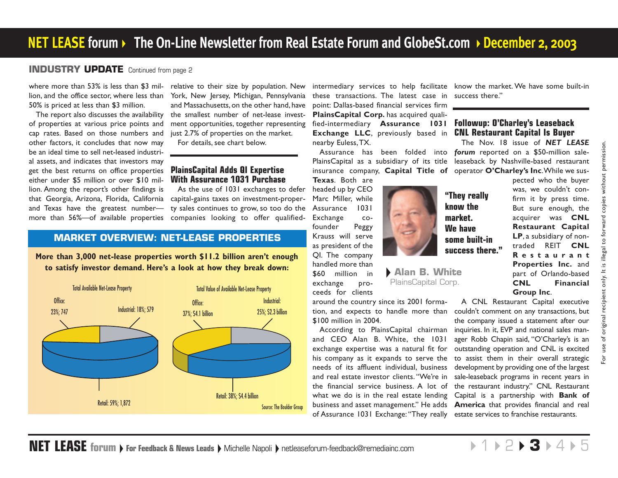#### <span id="page-2-0"></span>**INDUSTRY UPDATE** [Continued from page 2](#page-1-0)

where more than 53% is less than \$3 mil-relative to their size by population. New lion, and the office sector, where less than 50% is priced at less than \$3 million.

The report also discusses the availability of properties at various price points and cap rates. Based on those numbers and other factors, it concludes that now may be an ideal time to sell net-leased industrial assets, and indicates that investors may get the best returns on office properties either under \$5 million or over \$10 million. Among the report's other findings is that Georgia, Arizona, Florida, California and Texas have the greatest number more than 56%—of available properties

York, New Jersey, Michigan, Pennsylvania and Massachusetts, on the other hand, have the smallest number of net-lease investment opportunities, together representing just 2.7% of properties on the market. For details, see chart below.

#### **PlainsCapital Adds QI Expertise With Assurance 1031 Purchase**

As the use of 1031 exchanges to defer capital-gains taxes on investment-property sales continues to grow, so too do the companies looking to offer qualified-

#### **MARKET OVERVIEW: NET-LEASE PROPERTIES**

**More than 3,000 net-lease properties worth \$11.2 billion aren't enough to satisfy investor demand. Here's a look at how they break down:**



these transactions. The latest case in success there." point: Dallas-based financial services firm **PlainsCapital Corp.** has acquired quali fied-intermediary **Assurance 1031 Exchange LLC**, previously based in **CNL Restaurant Capital Is Buyer** nearby Euless,TX.

insurance company, **Capital Title of** operator **O'Charley's Inc**.While we sus-**Texas**. Both are

headed up by CEO Marc Miller, while Assurance 1031 Exchange cofounder Peggy Krauss will serve as president of the QI. The company handled more than \$60 million in

exchange proceeds for clients **Alan B. White** PlainsCapital Corp.

around the country since its 2001 forma-\$100 million in 2004.

and CEO Alan B. White, the 1031 exchange expertise was a natural fit for his company as it expands to serve the needs of its affluent individual, business and real estate investor clients. "We're in the financial service business. A lot of the restaurant industry." CNL Restaurant what we do is in the real estate lending Capital is a partnership with **Bank of** business and asset management." He adds **America** that provides financial and real of Assurance 1031 Exchange: "They really estate services to franchise restaurants.

intermediary services to help facilitate know the market. We have some built-in

# **Followup: O'Charley's Leaseback**

Assurance has been folded into *forum* reported on a \$50-million sale-PlainsCapital as a subsidiary of its title leaseback by Nashville-based restaurant The Nov. 18 issue of *NET LEASE*

> **"They really know the market. We have some built-in success there."**

pected who the buyer was, we couldn't confirm it by press time. But sure enough, the acquirer was **CNL Restaurant Capital LP**, <sup>a</sup> subsidiary of nontraded REIT **CNL Restaurant Properties Inc.** and part of Orlando-based **CNL Financial Group Inc**.

tion, and expects to handle more than couldn't comment on any transactions, but According to PlainsCapital chairman inquiries. In it, EVP and national sales man-A CNL Restaurant Capital executive the company issued a statement after our ager Robb Chapin said, "O'Charley's is an outstanding operation and CNL is excited to assist them in their overall strategic development by providing one of the largest sale-leaseback programs in recent years in

**NET LEASE** forum **For Feedback & News Leads | Michelle Napoli | [netleaseforum-feedback@remediainc.com](mailto:netleaseforum-feedback@remediainc.com)**  $+1$   $+2$  $+2$   $+$  3  $+4$  $+4$   $+5$  $+5$